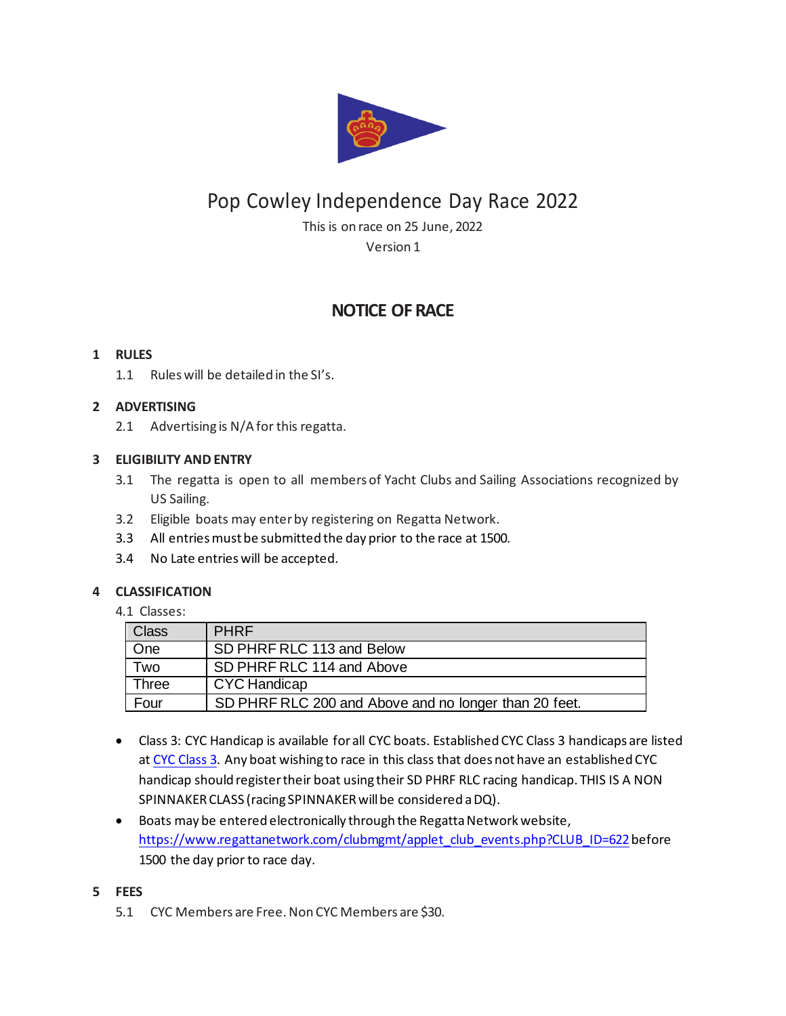

# Pop Cowley Independence Day Race 2022

This is on race on 25 June, 2022 Version 1

# **NOTICE OF RACE**

# **1 RULES**

1.1 Rules will be detailed in the SI's.

# **2 ADVERTISING**

2.1 Advertising is N/A for this regatta.

# **3 ELIGIBILITY AND ENTRY**

- 3.1 The regatta is open to all members of Yacht Clubs and Sailing Associations recognized by US Sailing.
- 3.2 Eligible boats may enter by registering on Regatta Network.
- 3.3 All entries must be submitted the day prior to the race at 1500.
- 3.4 No Late entries will be accepted.

# **4 CLASSIFICATION**

4.1 Classes:

| Class | <b>PHRF</b>                                           |
|-------|-------------------------------------------------------|
| One   | SD PHRF RLC 113 and Below                             |
| Two   | SD PHRF RLC 114 and Above                             |
| Three | <b>CYC Handicap</b>                                   |
| Four  | SD PHRF RLC 200 and Above and no longer than 20 feet. |

- Class 3: CYC Handicap is available for all CYC boats. Established CYC Class 3 handicaps are listed at CYC Class 3. Any boat wishing to race in this class that does not have an established CYC handicap should register their boat using their SD PHRF RLC racing handicap. THIS IS A NON SPINNAKER CLASS (racing SPINNAKER will be considered a DQ).
- Boats may be entered electronically through the Regatta Network website, https://www.regattanetwork.com/clubmgmt/applet\_club\_events.php?CLUB\_ID=622before 1500 the day prior to race day.
- **5 FEES**
	- 5.1 CYC Members are Free. Non CYC Members are \$30.